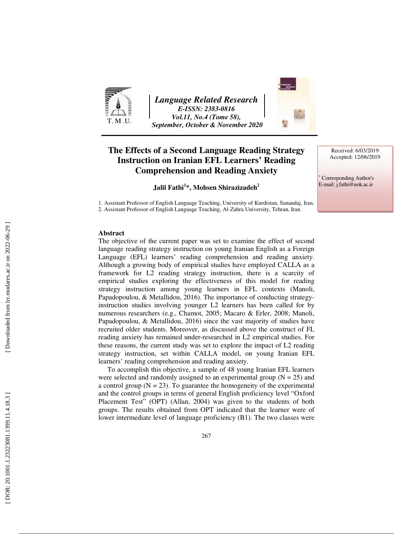

*Language Related Research E-ISSN: 2383-0816 Vol.11, No.4 (Tome 58), September, October & November 2020* 



# **The Effects of a Second Language Reading Strategy Instruction on Iranian EFL Learners' Reading Comprehension and Reading Anxiety**

## **Jalil Fathi 1 \*, Mohsen Shirazizadeh<sup>2</sup>**

1. Assistant Professor of English Language Teaching, University of Kurdistan, Sanandaj, Iran. 2. Assistant Professor of English Language Teaching, Al-Zahra University, Tehran, Iran.

Received: 6/03/2019 Accepted: 12/06/2019

∗ Corresponding Author's E-mail: j.fathi@uok.ac.ir

### **Abstract**

The objective of the current paper was set to examine the effect of second language reading strategy instruction on young Iranian English as a Foreign Language (EFL) learners' reading comprehension and reading anxiety. Although a growing body of empirical studies have employed CALLA as a framework for L2 reading strategy instruction, there is a scarcity of empirical studies exploring the effectiveness of this model for reading strategy instruction among young learners in EFL contexts (Manoli, Papadopoulou, & Metallidou, 2016). The importance of conducting strategyinstruction studies involving younger L2 learners has been called for by numerous researchers (e.g., Chamot, 2005; Macaro & Erler, 2008; Manoli, Papadopoulou, & Metallidou, 2016) since the vast majority of studies have recruited older students. Moreover, as discussed above the construct of FL reading anxiety has remained under-researched in L2 empirical studies. For these reasons, the current study was set to explore the impact of L2 reading strategy instruction, set within CALLA model, on young Iranian EFL learners' reading comprehension and reading anxiety.

To accomplish this objective, a sample of 48 young Iranian EFL learners were selected and randomly assigned to an experimental group  $(N = 25)$  and a control group  $(N = 23)$ . To guarantee the homogeneity of the experimental and the control groups in terms of general English proficiency level "Oxford Placement Test" (OPT) (Allan, 2004) was given to the students of both groups. The results obtained from OPT indicated that the learner were of lower intermediate level of language proficiency (B1). The two classes were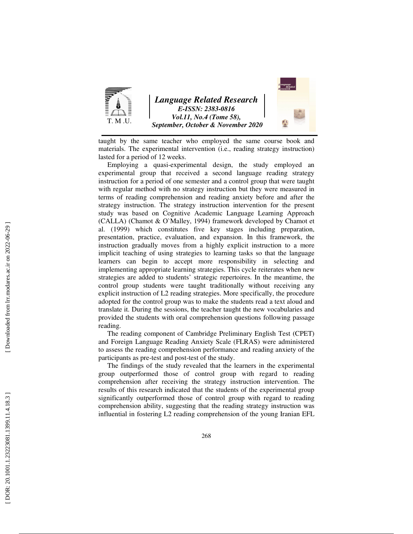

taught by the same teacher who employed the same course book and materials. The experimental intervention (i.e., reading strategy instruction) lasted for a period of 12 weeks.

Employing a quasi-experimental design, the study employed an experimental group that received a second language reading strategy instruction for a period of one semester and a control group that were taught with regular method with no strategy instruction but they were measured in terms of reading comprehension and reading anxiety before and after the strategy instruction. The strategy instruction intervention for the present study was based on Cognitive Academic Language Learning Approach (CALLA) (Chamot & O`Malley, 1994) framework developed by Chamot et al. (1999) which constitutes five key stages including preparation, presentation, practice, evaluation, and expansion. In this framework, the instruction gradually moves from a highly explicit instruction to a more implicit teaching of using strategies to learning tasks so that the language learners can begin to accept more responsibility in selecting and implementing appropriate learning strategies. This cycle reiterates when new strategies are added to students' strategic repertoires. In the meantime, the control group students were taught traditionally without receiving any explicit instruction of L2 reading strategies. More specifically, the procedure adopted for the control group was to make the students read a text aloud and translate it. During the sessions, the teacher taught the new vocabularies and provided the students with oral comprehension questions following passage reading.

The reading component of Cambridge Preliminary English Test (CPET) and Foreign Language Reading Anxiety Scale (FLRAS) were administered to assess the reading comprehension performance and reading anxiety of the participants as pre-test and post-test of the study.

The findings of the study revealed that the learners in the experimental group outperformed those of control group with regard to reading comprehension after receiving the strategy instruction intervention. The results of this research indicated that the students of the experimental group significantly outperformed those of control group with regard to reading comprehension ability, suggesting that the reading strategy instruction was influential in fostering L2 reading comprehension of the young Iranian EFL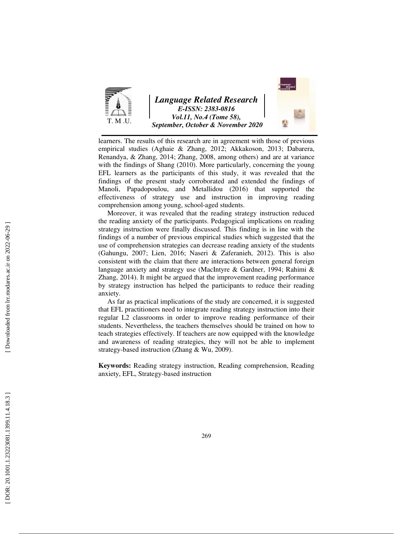

*Language Related Research E-ISSN: 2383-0816 Vol.11, No.4 (Tome 58), September, October & November 2020* 



learners. The results of this research are in agreement with those of previous empirical studies (Aghaie & Zhang, 2012; Akkakoson, 2013; Dabarera, Renandya, & Zhang, 2014; Zhang, 2008, among others) and are at variance with the findings of Shang (2010). More particularly, concerning the young EFL learners as the participants of this study, it was revealed that the findings of the present study corroborated and extended the findings of Manoli, Papadopoulou, and Metallidou (2016) that supported the effectiveness of strategy use and instruction in improving reading comprehension among young, school-aged students.

Moreover, it was revealed that the reading strategy instruction reduced the reading anxiety of the participants. Pedagogical implications on reading strategy instruction were finally discussed. This finding is in line with the findings of a number of previous empirical studies which suggested that the use of comprehension strategies can decrease reading anxiety of the students (Gahungu, 2007; Lien, 2016; Naseri & Zaferanieh, 2012). This is also consistent with the claim that there are interactions between general foreign language anxiety and strategy use (MacIntyre & Gardner, 1994; Rahimi & Zhang, 2014). It might be argued that the improvement reading performance by strategy instruction has helped the participants to reduce their reading anxiety.

As far as practical implications of the study are concerned, it is suggested that EFL practitioners need to integrate reading strategy instruction into their regular L2 classrooms in order to improve reading performance of their students. Nevertheless, the teachers themselves should be trained on how to teach strategies effectively. If teachers are now equipped with the knowledge and awareness of reading strategies, they will not be able to implement strategy-based instruction (Zhang & Wu, 2009).

**Keywords:** Reading strategy instruction, Reading comprehension, Reading anxiety, EFL, Strategy-based instruction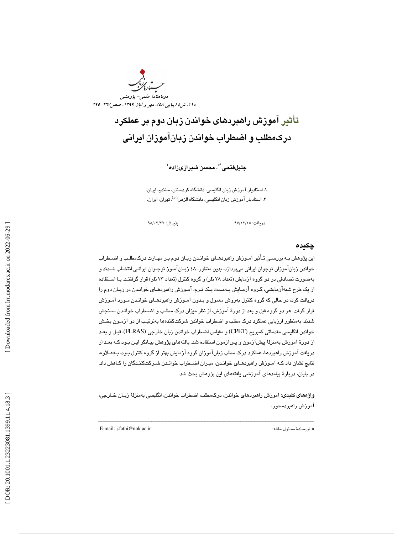

# تأثير آموزش راهبردهاي خواندن زبان دوم بر عملكرد دركمطلب و اضطراب خواندن زبانآموزان ايراني

جليلفتحى'\*، محسن شىيرازىزادە<sup>٢</sup>

. استاديار آموزش زبان انگليسي، دانشگاه كردستان، سنندج، ايران . 1 ۲. استادیار آموزش زبان انگلیس*ی،* دانشگاه الز*هر\<sup>اس)</sup>، ت*هران، ایران.

دريافت: 15/ 12/ 97 پذيرش: 22/ 03/ 98

### چكيده

اين پژوهش بـه بررسـي تـأثير آمـوزش راهبردهـاي خوانـدن زبـان دوم بـر مهـارت درك مطلـب و اضـطراب خواندن زبانآموزان نوجوان ايراني ميپردازد. بدين منظور، ٤٨ زبـانآمـوز نوجـوان ايرانـي انتخـاب شـدند و بهصورت تصادفي در دو گروه آزمايش (تعداد 28 نفر) و گروه كنترل (تعداد 23 نفر) قرار گرفتنـد. بـا اسـتفاده از يك طرح شبهآزمايشي، گـروه آزمـايش بـه مـدت يـك تـرم، آمـوزش راهبردهـاي خوانـدن در زبـان دوم را دريافت كرد، در حالي كه گروه كنترل بهروش معمول و بـدون آ مـوزش راهبردهـاي خوانـدن مـورد آمـوزش قرار گرفت. هر دو گروه قبل و بعد از دورة آموزش، از نظر ميزان درك مطلـب و اضـطراب خوانـدن سـنجش شدند. به منظور ارزيابي عملكرد درك مطلب و اضطراب خواندن شركتكننده ها بهترتيـب از دو آزمـون بخـش خواندن انگليسي مقدماتي كمبريج (CPET (و مقياس اضطراب خواندن زبان خارجي (FLRAS(، قبـل و بعـد از دورة آموزش بهمنزلة پيشآزمون و پسآزمون استفاده شد. يافته هاي پژوهش بيـانگر ايـن بـود كـه بعـد از دريافت آموزش راهبردها، عملكرد درك مطلب زبانآموزان گروه آزمايش بهتر از گروه كنترل بـود. بـه عـلاوه، نتايج نشان داد كـه آمـوزش راهبردهـاي خوانـدن، ميـزان اضـطراب خوانـدن شـركت كننـدگان را كـاهش داد. در پايان، دربارة پيامدهاي آموزشي يافتههاي اين پژوهش بحث شد.

واژههاي كليدي: آموزش راهبرد هاي خواندن، دركمطلب، اضطراب خواندن، انگليسي بهمنزلة زبـان خـارجي، آموزش راهبردمحور.

ــــــــــــــــــــــــــــــــــــــــــــــــــــــــــــــــــــــــــــــــــــــــــــــــــــــــــــــــــــــــــــــــــــــــــ

E-mail: j.fathi@uok.ac.ir :مقاله مسئول نويسندة\*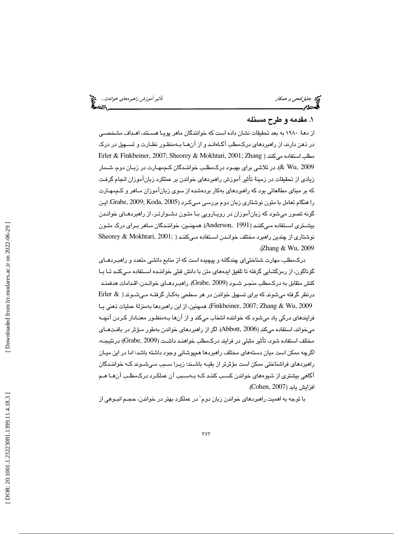جليلفتحي و همكار تأثير آموزش راهبردهاي خواندن...

## 1. مقدمه و طرح مسئله

از دهة 1980 به بعد تحقيقات نشان داده است كه خوانندگان ماهر پويـا هسـتند، اهـداف مشخصـي در ذهن دارند، از راهبردهاي دركمطلب آگـاه انـد و از آن هـا بـه منظـور نظـارت و تسـهيل در درك Erler & Finkbeiner, 2007; Sheorey & Mokhtari, 2001; Zhang ) ميكنند استفاده مطلب 2009 ,Wu( & . در تلاشي براي بهبـود درك مطلـب خواننـدگان كـم مهـارت در زبـان دوم، شـمار زيادي از تحقيقات در زمينة تأثير آموزش راهبردهاي خواندن بر عملكرد زبانآموزان انجام گرفـت كه بر مبنای مطالعاتی بود كه راهبردهای بهكار بردهشده از سوی زبانآموزان مـاهر و كـممهـارت را هنگام تعامل با متون نوشتاري زبان دوم بررسي مـي كـرد ( 2005 ,Koda; 2009 ,Grabe. ايـن گونه تصور ميشود كه زبانآموزان در رويـارويي بـا متـون دشـوار تـر، از راهبردهـاي خوانـدن بيشـتري اسـتفاده مـيكننـد (1991 ,Anderson( . همچنـين، خواننـدگان مـاهر بـراي درك متـون نوشتاري از چندين راهبرد مختلف خوانـدن اسـتفاده مـي كننـد ( Sheorey & Mokhtari, 2001; .( Zhang & Wu, 2009

دركمطلب، مهارت شناختياي چندگانه و پيچيده است كه از منابع دانشي متعدد و راهبـرد هـاي گوناگون، از رمزگشايي گرفته تا تلفيق ايده هاي متن با دانش قبلي خواننـده اسـتفاده مـي كنـد تـا بـا كنش متقابل به دركمطلب منجـر شـود ( 2009 ,Grabe(. راهبـرد هـاي خوانـدن، اقـدامات هدفمنـد درنظر گرفته ميشوند كه براي تسهيل خواندن در هر سطحي بهكـار گرفتـه مـي شـوند ( & Erler 2009 ,Wu & Zhang; 2007 ,Finkbeiner(. همچنين، از اين راهبردها بهمنزلة عمليات ذهني يـا فرايندهاي دركي ياد ميشود كه خواننده انتخاب ميكند و از آنها بـه منظـور معنـادار كـردن آنچـه ميخواند، استفاده ميكند (2006 ,Abbott(. اگر از راهبردهاي خواندن بهطور مـؤثر در بافـت هـاي مختلف استفاده شود، تأثير مثبتي در فرايند دركمطلب خواهنـد داشـت ( 2009 ,Grabe(؛ درنتيجـه، اگرچه ممكن است ميان دسته هاي مختلف راهبردها همپوشاني وجود داشته باشد؛ اما در اين ميـان راهبردهاي فراشناختي ممكن است مؤثرتر از بقيـه باشـند؛ زيـرا سـبب مـي شـوند كـه خواننـدگان آگاهي بيشتري از شيوههاي خواندن كسـب كننـد كـه بـه سـب ب آن عملكـرد درك مطلـب آن هـا هـم افزايش يابد (2007 ,Cohen( .

با توجه به اهمیت راهبردهای خواندن زبان دوم` در عملکرد بهتر در خواندن، حجـم انبـوهی از<br>.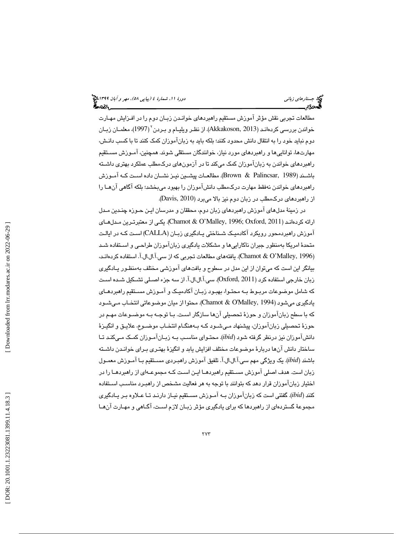مطالعات تجربي نقش مؤثر آموزش مستقيم راهبردهاي خوانـدن زبـان دوم را در افـزايش مهـارت خواندن بررسی کردهانـد (Akkakoson, 2013). از نظـر ویلیـام و بـردن ّ (1997)، معلمـان زبـان دوم نبايد خود را به انتقال دانش محدود كنند؛ بلكه بايد به زبانآموزان كمك كنند تا با كسب دانـش، مهارت ها، توانايي ها و راهبردهاي مورد نياز، خوانندگان مستقلي شوند. همچنين، آمـوزش مسـتقيم راهبردهاي خواندن به زبانآموزان كمك ميكند تا در آزمون هاي دركمطلب عملكرد بهتري داشـته باشـند (1989 ,Palincsar & Brown(. مطالعـات پيشـين نيـز نشـان داده اسـت كـه آمـوزش راهبردهاي خواندن نهفقط مهارت دركمطلب دانشآموزان را بهبود ميبخشد؛ بلكه آگاهي آن هـا را از راهبردهاي دركمطلب در زبان دوم نيز بالا ميبرد (2010 ,Davis( .

در زمينة مدل هاي آموزش راهبردهاي زبان دوم، محققان و مدرسان ايـن حـوزه چنـدين مـدل ارائه كردهانـد ( 2011 ,Oxford; 1996 ,Malley'O & Chamot(. يكـي از معتبرتـرين مـدل هـاي آموزش راهبردمحور رويكرد آكادميـك شـناختي يـادگيري زبـان ( CALLA (اسـت كـه در ايالـت متحدة امريكا بهمنظور جبران ناكارايي ها و مشكلات يادگيري زبانآموزان طراحـي و اسـتفاده شـد (Chamot & O'Malley, 1996). يافتههاي مطالعات تجربي كه از سي.آ.ال.ال.آ. استفاده كردهانـد، بيانگر اين است كه ميتوان از اين مدل در سطوح و بافت هاي آموزشي مختلف بهمنظـور يـادگيري زبان خارجي استفاده كرد (2011 ,Oxford(. سي.آ.ال.ال.آ. از سه جزء اصـلي تشـكيل شـده اسـت كه شامل موضوعات مربـوط بـه محتـوا، بهبـود زبـان آكادميـك و آمـوزش مسـتقيم راهبردهـاي يادگيري ميشود (Chamot & O'Malley, 1994). محتوا از ميان موضوعاتي انتخـاب مـيشـود كه با سطح زبانآموزان و حوزة تحصيلي آن ها سازگار اسـت. بـا توجـه بـه موضـوعات مهـم در حوزة تحصيلي زبانآموزان، پيشنهاد مـي شـود كـه بـه هنگـام انتخـاب موضـوع، علايـق و انگيـزة دانشآموزان نيز درنظر گرفته شود (*ibid*(. محتـواي مناسـب بـه زبـان آمـوزان كمـك مـي كنـد تـا ساختار دانش آن ها دربارة موضوعات مختلف افزايش يابد و انگيزة بهتـري بـراي خوانـدن داشـته باشند (*ibid*(. يك ويژگي مهم سي.آ.ال.ال.آ. تلفيق آموزش راهبـردي مسـتقيم بـا آمـوزش معمـول زبان است. هدف اصلي آموزش مسـتقيم راهبردهـا ايـن اسـت كـه مجموعـه اي از راهبردهـا را در اختيار زبانآموزان قرار دهد كه بتوانند با توجه به هر فعاليت مشخص از راهبـرد مناسـب اسـتفاده كنند (*ibid*(. گفتني است كه زبانآموزان بـه آمـوزش مسـتقيم نيـاز دارنـد تـا عـلاوه بـر يـادگيري 2 مجموعة گستردهاي از راهبردها كه براي يادگيري مؤثر زبـان لازم اسـت، آگـاهي و مهـارت آن هـا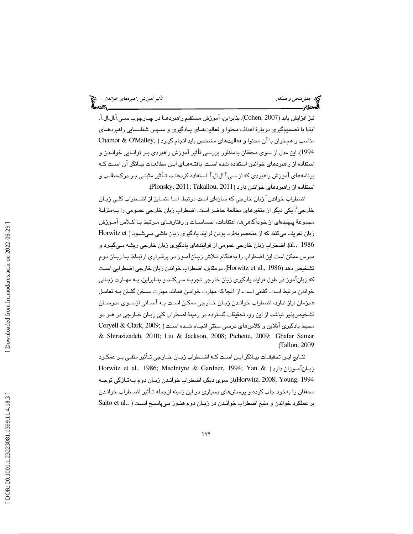جليلفتحي و همكار تأثير آموزش راهبردهاي خواندن...

نيز افزايش يابد (2007 ,Cohen(. بنابراين، آموزش مستقيم راهبردهـا در چـارچوب سـي.آ.ال.ال.آ. ابتدا با تصميمگيري دربارة اهداف محتوا و فعاليت هـاي يـادگيري و سـپس شناسـايي راهبردهـاي مناسب و همخوان با آن محتوا و فعاليتهاي مشخص بايد انجام گيـرد ( ,Malley'O & Chamot . اين مدل از سوي محققان بهمنظور بررسي تأثير آموزش راهبردي بـر توانـايي خوانـدن و (1994 استفاده از راهبردهاي خواندن استفاده شده اسـت. يافتـه هـاي ايـن مطالعـات بيـانگر آن اسـت كـه برنامه هاي آموزش راهبردي كه از سي.آ.ال.ال.آ. استفاده كردهانـد، تـأثير مثبتـي بـر درك مطلـب و استفاده از راهبردهاي خواندن دارد (2011 ,Takallou; 2011 ,Plonsky( .

اضطراب خواندن "زبان خارجي كه سازهاي است مرتبط، امـا متمـايز از اضـطراب كلـي زبـان خارجي ُ، يكي ديگر از متغيرهاي مطالعهٔ حاضر است. اضطراب زبان خارجي عمـومي را بـهمنزلـهٔ مجموعهٔ پيچيدهاي از خودآگاهي ها، اعتقادات، احساسـات و رفتارهـاي مـرتبط بـا كـلاس آمـوزش زبان تعريف ميكنند كه از منحصربهفرد بودن فرايند يادگيري زبان ناشي مـي شـود ( et Horwitz 1986 .,al(. اضطراب زبان خارجي عمومي از فرايندهاي يادگيري زبان خارجي ريشه مـي گيـرد و مدرس ممكن است اين اضطراب را بههنگام تـلاش زبـان آمـوز در برقـراري ارتبـاط بـا زبـان دوم تشخيص دهد (Horwitz et al., 1986). درمقابل، اضطراب خواندن زبان خارجي اضطرابي اسـت كه زبانآموز در طول فرايند يادگيري زبان خارجي تجربـه مـي كنـد و بنـابراين، بـه مهـارت زبـاني خواندن مرتبط است. گفتني است، از آنجا كه مهارت خواندن همانند مهارت سـخن گفـتن بـه تعامـل همزمان نياز ندارد، اضطراب خوانـدن زبـان خـارجي ممكـن اسـت بـه آسـاني ازسـوي مدرسـان تشخيصپذير نباشد. از اين رو، تحقيقات گسترده در زمينة اضطراب كلي زبـان خـارجي در هـر دو محيط يادگيري آنلاين و كلاسهاي درسي سنتي انجـام شـده اسـت ( ;2009 ,Clark & Coryell & Shirazizadeh, 2010; Liu & Jackson, 2008; Pichette, 2009; Ghafar Samar .( Tallon, 2009

نتـايج ايـن تحقيقـات بيـانگر ايـن اسـت كـه اضـطراب زبـان خـارجي تـأثير منفـي بـر عمكـرد Horwitz et al., 1986; MacIntyre & Gardner, 1994; Yan & ) دارد زبـانآمـوزان 1994 ,Young; 2008 ,Horwitz(.از سوي ديگر، اضطراب خوانـدن زبـان دوم بـه تـازگي توجـه محققان را بهخود جلب كرده و پرسشهاي بسياري در اين زمينه ازجمله تـأثير اضـطراب خوانـدن بر عملكرد خواندن و منبع اضطراب خوانـدن در زبـان دوم هنـوز بـي پاسـخ اسـت ( .,Saito et al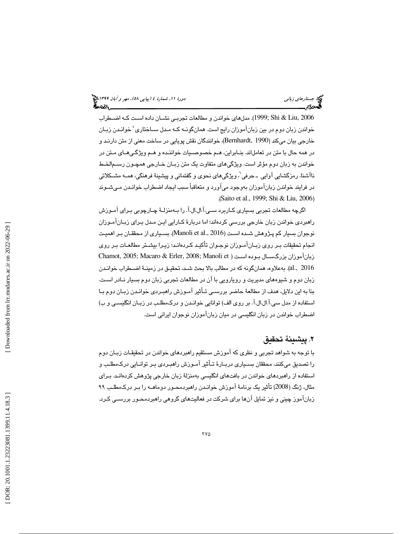2006 ,Liu & Shi; 1999(. مدلهاي خواندن و مطالعات تجربـي نشـان داده اسـت كـه اضـطراب خواندن زبان دوم در بين زبانآموزان رايج است. همانگونـه كـه مـدل سـاختاري ْ خوانـدن زبـان خارجي بيان ميكند (1990 ,Bernhardt(، خوانندگان نقش پويايي در ساخت معني از متن دارنـد و در همه حال با متن در تعاملاند. بنـابراين، هـم خصوصـيات خواننـده و هـم ويژگـي هـاي مـتن در خواندن به زبان دوم مؤثر است. ويژگي هاي متفاوت يك متن زبـان خـارجي همچـون رسـم الخـط ناآشنا، رمزگشایی آوایی ۔حرفی <sup>י</sup>، ویژگیهای نحوی و گفتمانی و پیشینهٔ فرهنگی، همـه مشـكلاتی در فرايند خواندن زبانآموزان بهوجود ميآورد و متعاقباً سبب ايجاد اضطراب خوانـدن مـي شـوند .( Saito et al., 1999; Shi & Liu, 2006 )

اگرچه مطالعات تجربي بسياري كـاربرد سـي.آ.ال.ال.آ. را بـه منزلـة چـارچوبي بـراي آمـوزش راهبردي خواندن زبان خارجي بررسي كردهاند؛ اما دربارة كـارايي ايـن مـدل بـ راي زبـان آمـوزان نوجوان بسيار كم پـژوهش شـده اسـت ( 2016 .,al et Manoli(. بسـياري از محققـان بـر اهميـت انجام تحقيقات بـر روي زبـان آمـوزان نوجـوان تأكيـد كـرده انـد؛ زيـرا بيشـتر مطالعـات بـر روي Chamot, 2005; Macaro & Erler, 2008; Manoli et ) اسـت بـوده بزرگسـال زبانآموزان 2016 .,al(. بهعلاوه، همانگونه كه در مطالب بالا بحث شـد، تحقيـق در زمينـة اضـطراب خوانـدن زبان دوم و شيوه هاي مديريت و رويارويي با آن در مطالعات تجربي زبان دوم بسيار نـادر اسـت. بنا به اين دلايل، هدف از مطالعة حاضر بررسـي تـأثير آمـوزش راهبـردي خوانـدن زبـان دوم بـا استفاده از مدل سي.آ.ال.ال.آ. بر روي الف) توانايي خوانـدن و درك مطلـب در زبـان انگليسـي و ب) اضطراب خواندن در زبان انگليسي در ميان زبانآموزان نوجوان ايراني است.

# 2. پيشينة تحقيق

با توجه به شواهد تجربي و نظري كه آموزش مستقيم راهبردهاي خواندن در تحقيقـات زبـان دوم را تصديق ميكنند، محققان بسـياري دربـارة تـأثير آمـوزش راهبـردي بـر توانـايي درك مطلـب و استفاده از راهبردهاي خواندن در بافت هاي انگليسي بهمنزلة زبان خارجي پژوهش كردهانـد. بـراي مثال، ژنگ (2008) تأثير يك برنامة آموزش خوانـدن راهبردمحـور دو ماهـه را بـر درك مطلـب 99 زبانآموز چيني و نيز تمايل آنها براي شركت در فعاليتهاي گروهي راهبردمحـور بررسـي كـرد.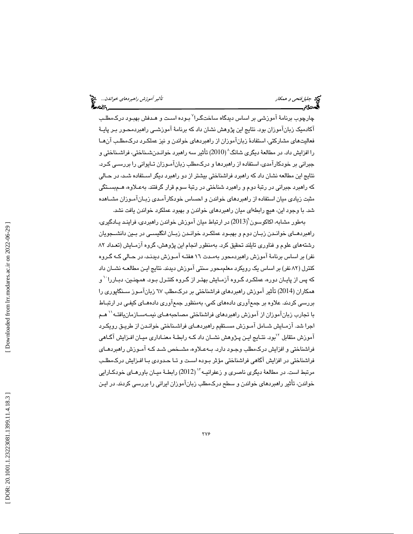چارچوب برنامهٔ آموزشی بر اساس دیدگاه ساختگـرا<sup>۷</sup> بـوده اسـت و هـدفش بهبـود درکـمطلـب آكادميك زبانآموزان بود. نتايج اين پژوهش نشان داد كه برنامة آموزشـي راهبردمحـور بـر پايـة فعاليت هاي مشاركتي، استفادة زبانآموزان از راهبردهاي خواندن و نيز عملكـرد درك مطلـب آن هـا را افزايش داد. در مطالعهٔ ديگري شانگ^(2010) تأثير سه راهبرد خوانـدنشــناختي، فراشــناختي و جبراني بر خودكارآمدي، استفاده از راهبردها و دركمطلب زبانآمـوزان تـايواني را بررسـي كـرد. نتايج اين مطالعه نشان داد كه راهبرد فراشناختي بيشتر از دو راهبرد ديگر اسـتفاده شـد، در حـالي كه راهبرد جبراني در رتبة دوم و راهبرد شناختي در رتبة سوم قرار گرفتند. بهعـلاوه، هـم بسـتگي مثبت زيادي ميان استفاده از راهبردهاي خواندن و احساس خودكارآمـدي زبـان آمـوزان مشـاهد ه شد. با وجود اين، هيچ رابطهاي ميان راهبردهاي خواندن و بهبود عملكرد خواندن يافت نشد.

بهطور مشابه، اكاكوسون (2013) در ارتباط ميان آموزش خواندن راهبردي، فراينـد يـادگيري، راهبردهـاي خوانـدن زبـان دوم و بهبـود عملكـرد خوانـدن زبـان انگليسـي در بـين دانشـجويان رشته هاي علوم و فناوري تايلند تحقيق كرد. بهمنظور انجام اين پژوهش، گروه آزمـايش (تعـداد 82 نفر) بر اساس برنامة آموزش راهبردمحور بهمـدت 16 هفتـه آمـوزش ديدنـد، در حـالي كـه گـروه كنترل ( 82 نفر) بر اساس يك رويكرد معلممحور سنتي آموزش ديدند. نتايج ايـن مطالعـه نشـان داد كه پس از پايـان دوره، عملكـرد گـروه آزمـايش بهتـر از گـروه كنتـرل بـود. همچنـين، دبـاررا ``و همكاران (2014) تأثير آموزش راهبردهاي فراشناختي بر دركمطلب 67 زبانآمـوز سـنگاپوري را بررسي كردند. علاوه بر جمعآوري دادههاي كمي، بهمنظور جمعآوري داده هـاي كيفـي در ارتبـاط با تجارب زبانآموزان از آموزش راهبردهاي فراشناختي مصاحبههـاي نيمـهســازمانيافتــه'' هـم اجرا شد. آزمـايش شـامل آمـوزش مسـتقيم راهبردهـاي فراشـناختي خوانـدن از طريـق رويكـرد آموزش متقابل <sup>٧</sup>لبود. نتـايج ايـن پـژوهش نشــان داد كــه رابطــهٔ معنــاداري ميــان افـزايش آگـاهي فراشناختي و افزايش دركم طلب وجـود دارد. بـه عـلاوه، مشـخص شـد كـه آمـوزش راهبردهـاي فراشناختي در افزايش آگاهي فراشناختي مؤثر بـوده اسـت و تـا حـدودي بـا افـزايش درك مطلـب مرتبط است. در مطالعهٔ دیگری ناصری و زعفرانیــه ``` (2012) رابطـهٔ میــان باورهـای خودكـارايي خواندن، تأثير راهبردهاي خواندن و سطح دركمطلب زبانآموزان ايراني را بررسي كردند. در ايـن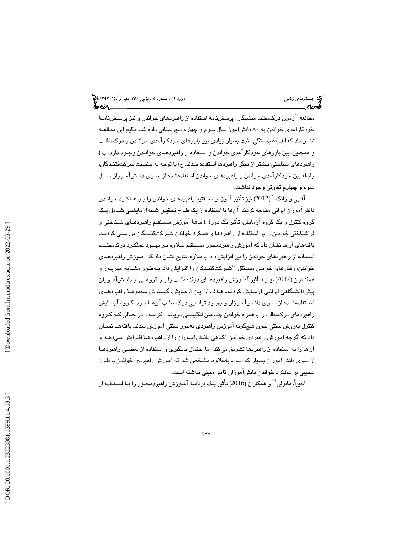مطالعه، آزمون دركمطلب ميشيگان، پرسشنامة استفاده از راهبردهاي خواندن و نيز پرسـش نامـة خودكارآمدي خواندن به ۸۰ دانشآموز سال سوم و چهارم دبيرستاني داده شد. نتايج اين مطالعـه نشان داد كه الف) همبستگي مثبت بسيار زيادي بين باورهاي خودكارآمدي خوانـدن و درك مطلـب و همچنين، بين باورهاي خودكارآمدي خواندن و استفاده از راهبردهـاي خوانـدن وجـود دارد. ب ) راهبردهاي شناختي بيشتر از ديگر راهبردها استفاده شدند. ج) با توجه به جنسيت شركتكننـدگان، رابطة بين خودكارآمدي خواندن و راهبردهاي خواندن استفادهشده از سـوي دانـش آمـوزان سـال سوم و چهارم تفاوتي وجود نداشت.

آقايي و ژانگ  $^{3}$ (2012) نيز تأثير آموزش مسقتيم راهبردهاي خواندن را بـر عملكـرد خوانـدن دانشآموزان ايراني مطالعه كردند. آنها با استفاده از يك طـرح تحقيـق شـبه آزمايشـي شـامل يـك گروه كنترل و يك گروه آزمايش، تأثير يك دورة 4 ماهة آموزش مسـتقيم راهبردهـاي شـناختي و فراشناختي خواندن را بر استفاده از راهبردها و عملكرد خواندن شـركت كننـدگان بررسـي كردنـد. يافته هاي آنها نشان داد كه آموزش راهبردمحور مسـتقيم عـلاوه بـر بهبـود عملكـرد درك مطلـب، استفاده از راهبردهاي خواندن را نيز افزايش داد. بهعلاوه، نتايج نشان داد كه آمـوزش راهبردهـاي خواندن، رفتارهاي خواندن مسـتقل  $^{\circ}$ شـركتكننـدگان را افـزايش داد. بـهطـور مشـابه، مهرپـور و همكـاران (2012) نيـز تـأثير آمـوزش راهبردهـاي درك مطلــب را بــر گروهــي از دانــش آمــوزان پيشدانشـگاهي ايرانـي آز مـايش كردنـد. هـدف از ايـن آزمـايش، گسـترش مجموعـة راهبردهـاي اسـتفادهشـده از سـوي دانـشآمـوزان و بهبـود توانـايي دركمطلـب آنهـا بـود. گـروه آزمـايش راهبردهاي دركمطلب را بههمراه خواندن چند متن انگليسـي دريافـت كردنـد، در حـالي كـه گـروه كنترل بهروش سنتي بدون هيچگونه آموزش راهبردي بهطور سنتي آموزش ديدند. يافته هـا نشـان داد كه اگرچه آموزش راهبردي خواندن آگـاهي دانـش آمـوزان را از راهبردهـا افـزايش مـي دهـد و آنها را به استفاده از راهبردها تشويق ميكند؛ اما احتمال يادگيري و استفاده از بعضـي راهبردهـا از سوي دانشآموزان بسيار كم است. به علاوه، مشخص شد كه آموزش راهبردي خواندن بهطـرز عجيبي بر عملكرد خواندن دانشآموزان تأثير مثبتي نداشته است.

اخيراً، مانولي'' و همكاران (2016) تأثير يـك برنامــهٔ آمـوزش راهبردمحـور را بـا اسـتفاده از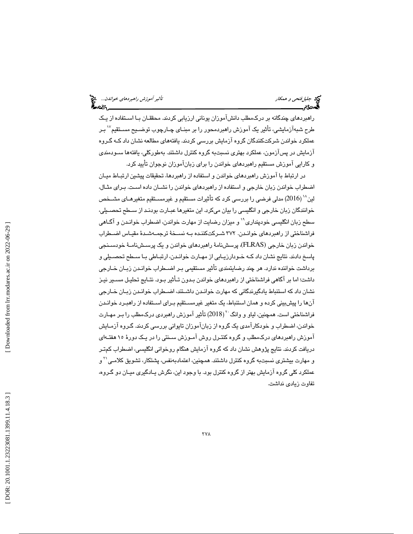راهبردهاي چندگانه بر دركمطلب دانشآموزان يوناني ارزيابي كردند. محققـان بـا اسـتفاده از يـك طرح شبهآزمايشي، تأثير يک آموزش راهبردمحور را بر مبنـاي چـارچوب توضـيح مسـتقيم<sup>۱۷</sup> بـر عملكرد خواندن شركتكنندگان گروه آزمايش بررسي كردند. يافتههاي مطالعه نشان داد كـه گـروه آزمايش در پسآزمون، عملكرد بهتري نسبتبه گروه كنترل داشتند. بهطوركلي، يافته ها سـودمندي و كارايي آموزش مستقيم راهبردهاي خواندن را براي زبانآموزان نوجوان تأييد كرد.

در ارتباط با آموزش راهبردهاي خواندن و استفاده از راهبردها، تحقيقات پيشين ارتبـاط ميـان اضطراب خواندن زبان خارجي و استفاده از راهبردهاي خواندن را نشـان داده اسـت. بـراي مثـال، لين $^{\backprime\prime}$  (2016) مدلی فرضی را بررسی کرد که تأثيرات مستقيم و غيرمسـتقيم متغيرهـای مشــخص خوانندگان زبان خارجي و انگليسي را بيان ميكرد. اين متغيرها عبـارت بودنـد از سـطح تحصـيلي، سطح زبان انگليسي خودپنداري `` و ميزان رضايت از مهارت خواندن، اضطراب خوانـدن و آگـاهي فراشناختي از راهبردهاي خوانـدن. 372 شـركت كننـده بـه نسـخة ترجمـه شـدة مقيـاس اضـطراب خواندن زبان خارجي (FLRAS(، پرسشنامة راهبردهاي خواندن و يك پرسـش نامـة خودسـنجي پاسخ دادند. نتايج نشان داد كـه خـود ارزيـابي از مهـارت خوانـدن، ارتبـاطي بـا سـطح تحصـيلي و برداشت خواننده ندارد. هر چند رضايتمندي تأثير مستقيمي بـر اضـطراب خوانـدن زبـان خـارجي داشت؛ اما بر آگاهي فراشناختي از راهبردهاي خواندن بـدون تـأثير بـود. نتـايج تحليـل مسـير نيـز نشان داد كه استنباط يادگيرندگاني كه مهارت خوانـدن داشـتند، اضـطراب خوانـدن زبـان خـارجي آنها را پيشبيني كرده و همان استنباط، يك متغير غيرمسـتقيم بـراي اسـتفاده از راهبـرد خوانـدن فراشناختي است. همچنين، لياو و وانگ<sup>71</sup> (2018) تأثير آموزش راهبردي درك،مطلب را بـر مهـارت خواندن، اضطراب و خودكارآمدي يك گروه از زبانآموزان تايواني بررسي كردند. گـروه آزمـايش آموزش راهبردهاي دركمطلب و گروه كنتـرل روش آمـوزش سـنتي را در يـك دورهٔ ۱۵ هفتـهاي دريافت كردند. نتايج پژوهش نشان داد كه گروه آزمايش هنگام روخواني انگليسي، اضطراب كمتـر و مهارت بیشتری نسبتبه گروه كنترل داشتند. همچنین، اعتمادبهنفس، پشتكار، تشویق كلامـی<sup>۲۱</sup> و عملكرد كلي گروه آزمايش بهتر از گروه كنترل بود. با وجود اين، نگرش يـادگيري ميـان دو گـروه، تفاوت زيادي نداشت.

 [\[ DOR: 20.1001.1.23223081.1399.11.4.18](https://dorl.net/dor/20.1001.1.23223081.1399.11.4.18.3).3 ] [\[ Downloaded from lrr.modares.ac.ir on 20](https://lrr.modares.ac.ir/article-14-30800-fa.html)22-06-29 ] Downloaded from lrr.modares.ac.ir on 2022-06-29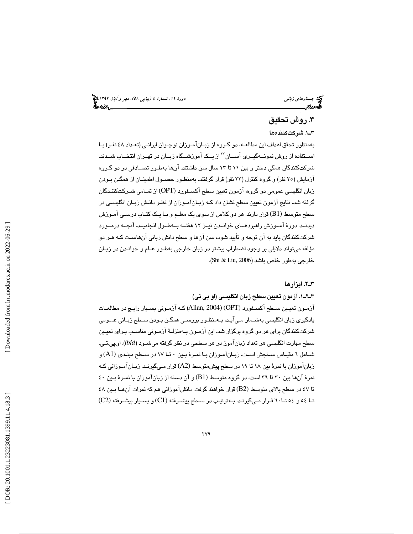# 3. روش تحقيق

. 1ـ3 شركت ها كننده

 بهمنظور تحقق اهداف اين مطالعـه، دو گـروه از زبـان آمـوزان نوجـوان ايرانـي (تعـداد 48 نفـر) بـا اســتفاده از روش نمونــهگيــرى آســـان<sup>٢٢</sup> از يــک آموزشــگاه زبــان در تهــران انتخــاب شــدند. شركتكنندگان همگي دختر و بين تا 11 13 سال سن داشتند. آنها بهطـور تصـادفي در دو گـروه آزمايش ( 25 نفر) و گروه كنترل ( 23 نفر) قرار گرفتند. بهمنظـور حصـول اطمينـان از همگـن بـودن زبان انگليسي عمومي دو گروه، آزمون تعيين سطح آكسـفورد (OPT (از تمـامي شـركت كننـدگان گرفته شد. نتايج آزمون تعيين سطح نشان داد كـه زبـان آمـوزان از نظـر دانـش زبـان انگليسـي در سطح متوسط (1B (قرار دارند. هر دو كلاس از سوي يك معلـم و بـا يـك كتـاب درسـي آمـوزش ديدنــد. دورة آمــوزش راهبردهــاي خوانــدن نيــز 12 هفتــه بــه طــول انجاميــد. آنچــه در مــورد شركتكنندگان بايد به آن توجه و تأييد شود، سن آنها و سطح دانش زباني آنهاسـت كـه هـر دو مؤلفه ميتواند دلايلي بر وجود اضطراب بيشتر در زبان خارجي بهطـور عـام و خوانـدن در زبـان خارجي بهطور خاص باشد (2006 ,Liu & Shi( .

### 2ـ3 . ابزارها

. 1ـ2ـ3 آزمون تعيين سطح زبان انگليسي (او پي تي)

آزمـون تعيـين سـطح آكسـفورد (OPT) (2004 ,Allan (كـه آزمـوني بسـيار رايـج در مطالعـات يادگيري زبان انگليسي بهشـمار مـي آيـد، بـه منظـور بررسـي همگـن بـودن سـطح زبـاني عمـومي شركتكنندگان براي هر دو گروه برگزار شد. اين آزمـون بـه منزلـة آزمـوني مناسـب بـراي تعيـين سطح مهارت انگليسي هر تعداد زبانآموز در هر سطحي در نظر گرفته ميشـود ( *ibid*(. او.پي.تـي. شـامل 6 مقيـاس سـنجش اسـت. زبـانآمـوزان بـا نمـرة بـين 0 تـا 17 در سـطح مبتـدي (1A (و زبانآموزان با نمرة بين تا 18 19 در سطح پيشمتوسط (2A (قرارمـي گيرنـد. زبـان آمـوزاني كـه نمرهٔ آنها بين ٣٠ تا ٣٩ است، در گروه متوسط (B1) و آن دسته از زبانآموزان با نمـرهٔ بـين ٤٠ تا 47 در سطح بالاي متوسط (2B (قرار خواهند گرفت. دانشآموزاني هم كه نمرات آن هـا بـين 48 تـا و 54 54 تـا 60 قـرار مـيگيرنـد، بـه ترتيـب در سـطح پيشـرفته (1C (و بسـيار پيشـرفته (2C (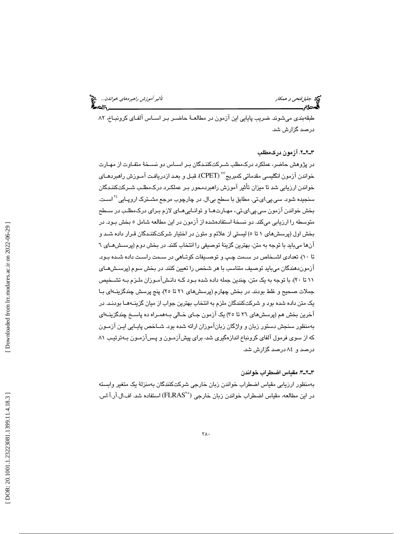طبقهبندي ميشوند. ضريب پايايي اين آزمون در مطالعـة حاضـر بـر اسـاس آلفـاي كرونبـاخ، 82 درصد گزارش شد.

### . 2ـ2ـ3 آزمون دركمطلب

در پژوهش حاضر، عملكرد دركمطلب شـركت كننـدگان بـر اسـاس دو نسـخة متفـاوت از مهـارت خواندن آزمون انگليسي مقدماتي كمبريج"٬ (CPET)، قبـل و بعـد ازدريافـت آمـوزش راهبردهـاي خواندن ارزيابي شد تا ميزان تأثير آموزش راهبردمحور بـر عملكـرد درك مطلـب شـركت كننـدگان سنجيده شود. سي.پي.اي.تي. مطابق با سطح بي.ال. در چارچوب مرجع مشــترک اروپــايي<sup>ءَ٢</sup> اســت. بخش خواندن آزمون سي.پي.اي.تي،. مهـارتهـا و توانـايي هـاي لازم بـراي درك مطلـب در سـ طح متوسطه را ارزيابي ميكند. دو نسخة استفادهشده از آزمون در اين مطالعه شامل 5 بخش بـود. در بخش اول (پرسشهاي 5تا 1 ) ليستي از علائم و متون در اختيار شركتكننـدگان قـرار داده شـد و آنها ميبايد با توجه به متن، بهترين گزينة توصيفي را انتخاب كنند. در بخش دوم (پرسـش هـاي 6 تا 10)، تعدادي اشـخاص در سـمت چـپ و توصـيفات كوتـاهي در سـمت راسـت داده شـده بـود. آزموندهندگان ميبايد توصيف متناسب با هر شخص را تعيين كنند. در بخش سوم (پرسـش هـاي تا 11 20)، با توجه به يك متن، چندين جمله داده شده بـود كـه دانـش آمـوزان ملـزم بـه تشـخيص جملات صحيح و غلط بودند. در بخش چهارم (پرسشهاي تا 21 25)، پنج پرسش چندگزينـه اي بـا يك متن داده شده بود و شركتكنندگان ملزم به انتخاب بهترين جواب از ميان گزينـه هـا بودنـد. در آخرين بخش هم (پرسشهاي ٢٦ تا ٣٥) يک آزمون جـاي خـالي بـههمـراه ده پاسـخ چندگزينـهاي بهمنظور سنجش دستور زبان و واژگان زباناموزان ارائه شده بود. شــاخص پايــايي ايـن ازمــون كه از سوي فرمول آلفاي كرونباخ اندازهگيري شد، براي پيشآزمـون و پـس آزمـون بـه ترتيـب 81 درصد و 84 درصد گزارش شد.

### . 3ـ2ـ3 مقياس اضطراب خواندن

 بهمنظور ارزيابي مقياس اضطراب خواندن زبان خارجي شركتكنندگان بهمنزلة يك متغير وابسته در اين مطالعه، مقياس اضطراب خواندن زبان خارجي ("FLRAS) استفاده شد. اف.ال.آر.آ.اس.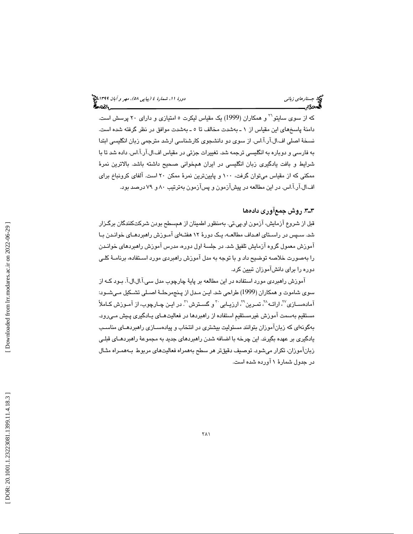که از سوی سایتو<sup>۲۰</sup> و همکاران (1999) یک مقیاس لیکرت ۵ امتیازی و دارای ۲۰ پرسش است. دامنة پاسخهاي اين مقياس از 1 ـ بهشدت مخالف بهـ 5تا شدت موافق در نظر گرفته شده است. نسخة اصلي اف.ال.آر.آ.اس. از سوي دو دانشجوي كارشناسي ارشد مترجمي زبان انگليسي ابتدا به فارسي و دوباره به انگليسي ترجمه شد. تغييرات جزئي در مقياس اف.ال.آر.آ.اس. داده شد تا با شرايط و بافت يادگيري زبان انگليسي در ايران همخواني صحيح داشته باشد. بالاترين نمرة ممكني كه از مقياس ميتوان گرفت، 100 و پايينترين نمرة ممكن 20 است. آلفاي كرونباخ براي اف.ال.آر.آ.اس. در اين مطالعه در پيشآزمون و پسآزمون بهترتيب ٨٠ و ٧٩ درصد بود.

## ٣ــ٣. روش جمعآوري دادهها

قبل از شروع آزمايش، آزمون او.پي.تي. بهمنظور اطمينان از همسطح بودن شركتكنندگان برگـزار شد. سـپس در راسـتاي اهـداف مطالعـه، يـك دورة 12 هفتـه اي آمـوزش راهبردهـاي خوانـدن بـا آموزش معمول گروه آزمايش تلفيق شد. در جلسة اول دوره، مدرس آموزش راهبردهاي خوانـدن را بهصورت خلاصه توضيح داد و با توجه به مدل آموزش راهبردي مورد اسـتفاده، برنامـة كلـي دوره را براي دانشآموزان تبيين كرد.

آموزش راهبردي مورد استفاده در اين مطالعه بر پاية چارچوب مدل سي.آ.ال.ال.آ. بـود كـه از سوي شاموت و همكاران (1999) طراحي شد. ايـن مـدل از پـنج مرحلـة اصـلي تشـكيل مـي شـود: آمادهسـازي<sup>۲۷</sup>، ارائـه<sup>^۲</sup>، تمـرين <sup>۲۲</sup>، ارزيـابي <sup>۳۰</sup> و گسـترش <sup>۳</sup>. در ايـن چـارچوب، از آمـوزش كـاملاً مستقيم بهسمت آموزش غيرمستقيمِ استفاده از راهبردها در فعاليت هـاي يـادگيري پـيش مـي رود. بهگونهاي كه زبانآموزان بتوانند مسئوليت بيشتري در انتخاب و پيادهسـازي راهبردهـاي مناسـب يادگيري بر عهده بگيرند. اين چرخه با اضافه شدن راهبردهاي جديد به مجموعة راهبردهـاي قبلـي زبانآموزان، تكرار ميشود. توصيف دقيقتر هر سطح بههمراه فعاليتهاي مربوط بـه همـراه مثـال در جدول شمارة 1 آورده شده است.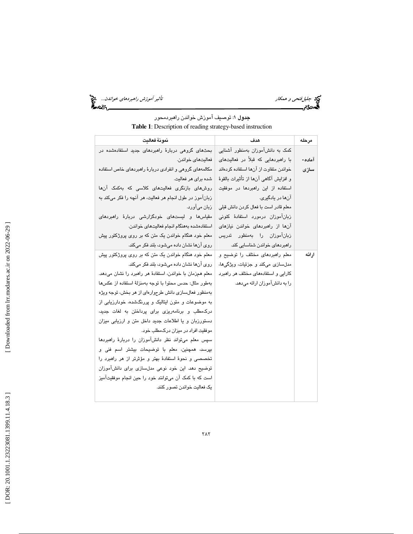جد جليل *فتحي و همكار تأثير آموزش راهبردهاي خواندن...*. وفق<sup>ع</sup><br>المصري المصري المصري المصري المصري المصري المصري المصري المصري المصري المصري المصري المصري المصري المصري المصر<br>المصري المصري المصري المصري المصري المصري المصر

# جدول 1: توصيف آموزش خواندن راهبردمحور **Table 1**: Description of reading strategy-based instruction

| نمونة فعالىت                                             | هدف                                    | مر حله |
|----------------------------------------------------------|----------------------------------------|--------|
| ىحثھاى گروھى دربارۂ راھىرىھاى جدىد استفادەشدە در         | کمک به دانشآموزان بهمنظور آشنایی       |        |
| فعاليتهای خواندن.                                        | با راهبردهایی که قبلاً در فعالیتهای    | آماده- |
| مکالمههای گروهی و انفرادی دربارهٔ راهبردهای خاص استفاده  | خواندن متفاوت از آنها استفاده كردهاند  | سازى   |
| شده برای هر فعالیت.                                      | و افزايش آگاهي آنها از تأثيرات بالقوهٔ |        |
| روشهای بازنگری فعالیتهای کلاسی که بهکمک آنها             | استفاده از این راهبردها در موفقیت      |        |
| زبانآموز در طول انجام هر فعالیت، هر آنچه را فکر میکند به | آنها در پادگیری.                       |        |
| زبان میآورد.                                             | معلم قادر است با فعال كردن دانش قبلى   |        |
| مقیاس ها و لیستهای خودگزارشی دربارهٔ راهبردهای           | زبانآموزان درمورد استفادهٔ کنونی       |        |
| استفادهشده بههنگام انجام فعالیتهای خواندن.               | آنها از راهبردهای خواندن نیازهای       |        |
| معلم خود هنگام خواندن یک متن که بر روی پروژکتور پیش      | زبانآموزان را بهمنظور تدريس            |        |
| روی آنها نشان داده می شود، بلند فکر میکند.               | راھبردھای خواندن شناسایے کند.          |        |
| معلم خود هنگام خواندن یک متن که بر روی پروژکتور پیش      | معلم راهبردهای مختلف را توضیح و        | ارائه  |
| روی آنها نشان داده میشود، بلند فکر میکند.                | مدلسازی میکند و جزئیات، ویژگیها،       |        |
| معلم همزمان با خواندن، استفادهٔ هر راهبرد را نشان میدهد. | کارایی و استفادههای مختلف هر راهبرد    |        |
| بهطور مثال: حدس محتوا با توجه بهمنزلة استفاده از عكسها   | را به دانشآموزان ارائه میدهد.          |        |
| بهمنظور فعالسازی دانش طرحوارهای از هر بخش، توجه ویژه     |                                        |        |
| به موضوعات و متون ایتالیک و پررنگشده، خودارزیابی از      |                                        |        |
| درك مطلب و برنامهریزی برای پرداختن به لغات جدید،         |                                        |        |
| دستورزبان و یا اطلاعات جدید داخل متن و ارزیابی میزان     |                                        |        |
| موفقیت افراد در میزان درکمطلب خود.                       |                                        |        |
| سپس معلم میتواند نظر دانشآموزان را دربارهٔ راهبردها      |                                        |        |
| بپرسد، همچنین، معلم با توضیحات بیشتر اسم فنی و           |                                        |        |
| تخصصی و نحوهٔ استفادهٔ بهتر و مؤثرتر از هر راهبرد را     |                                        |        |
| توضیح دهد. این خود نوعی مدلسازی برای دانشآموزان          |                                        |        |
| است که با کمک آن میتوانند خود را حین انجام موفقیتآمیز    |                                        |        |
| یک فعالیت خواندن تصور کنند.                              |                                        |        |
|                                                          |                                        |        |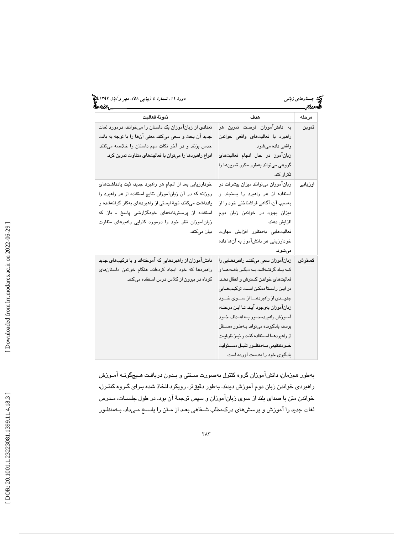# جستار*هاي زباني (1398-1194) بين 68)، مهر و آبان 139*9 مج

| ውርና ነ                                                     |                                              | ەددى.   |
|-----------------------------------------------------------|----------------------------------------------|---------|
| نمونة فعاليت                                              | هدف                                          | مرحله   |
| تعدادی از زبانآموزان یک داستان را میخوانند، درمورد لغات   | به دانشآموزان فرصت تمرین هر                  | تمرين   |
| جدید آن بحث و سعی میکنند معنی آنها را با توجه به بافت     | راهبرد با فعالیتهای واقعی خواندن             |         |
| حدس بزنند و در آخر نکات مهم داستان را خلاصه میکنند.       | واقعي داده ميشود.                            |         |
| انواع راهبردها را میتوان با فعالیتهای متفاوت تمرین کرد.   | زبانآموز در حال انجام فعالیتهای              |         |
|                                                           | گروهی میتواند بهطور مکرر تمرینها را          |         |
|                                                           | تكرار كند.                                   |         |
| خودارزیابی بعد از انجام هر راهبرد جدید، ثبت یادداشتهای    | زبانآموزان میتوانند میزان پیشرفت در          | ارزيابى |
| روزانه که در آن زبانآموزان نتایج استفاده از هر راهبرد را  | استفاده از هر راهبرد را بسنجند و             |         |
| یادداشت میکنند، تهیهٔ لیستی از راهبردهای بهکار گرفتهشده و | بەسبب آن، آگاهی فراشناختی خود را از          |         |
| استفاده از پرسشنامههای خودگزارشی پاسخ ـ باز که            | میزان بهبود در خواندن زبان دوم               |         |
| زبانآموزان نظر خود را درمورد کارایی راهبرهای متفاوت       | افزايش دهند.                                 |         |
| بيان ميكنند.                                              | فعالیتهایی بهمنظور افزایش مهارت              |         |
|                                                           | خودارزیابی هر دانشآموز به آنها داده          |         |
|                                                           | مى شود.                                      |         |
| دانشآموزان از راهبردهایی که آموختهاند و یا ترکیبهای جدید  | زبانآموزان سعی میکنند راهبردهـایی را         | گستر ش  |
| راهبردها که خود ایجاد کردهاند، هنگام خواندن داستانهای     | که ياد گرفتهاند به ديگر بافتها و             |         |
| کوتاه در بیرون از کلاس درس استفاده میکنند.                | فعالیتهای خواندن گسترش و انتقال دهـد.        |         |
|                                                           | در ایـن راســتا ممکـن اسـت ترکیـبـهــایی     |         |
|                                                           | جدیــدی از راهبردهـــا از ســـوی خـــود      |         |
|                                                           | زبان آموزان بهوجود آيد. تا اين مرحله،        |         |
|                                                           | آمــوزش راهبردمحــور بــه اهــداف خــود      |         |
|                                                           | برسد، يادگيرنده مي تواند بـهطـور مســتقل     |         |
|                                                           | از راهبردهــا اســتفاده كنــد و نيــز ظرفيـت |         |
|                                                           | خــودتنظيمي بـــهمنظــور تقبــل مســئوليت    |         |
|                                                           | یادگیری خود را بهدست آورده است.              |         |

 بهطور همزمان، دانشآم وزان گروه كنترل بهصورت سـنتي و بـدون دريافـت هـيچ گونـه آمـوزش راهبردي خواندن زبان دوم آموزش ديدند. بهطور دقيقتر، رويكرد اتخاذ شده بـراي گـروه كنتـرل، خواندن متن با صداي بلند از سوي زبانآموزان و سپس ترجمة آن بود. در طول جلسـات، مـدرس لغات جديد را آموزش و پرسشهاي دركمطلب شـفاهي بعـد از مـتن را پاسـخ مـي داد. بـه منظـور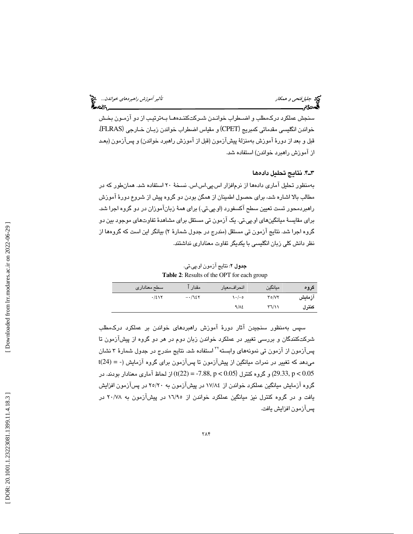سنجش عملكرد دركمطلب و اضـطراب خوانـدن شـركت كننـده هـا بـه ترتيـب از دو آزمـون بخـش خواندن انگليسي مقدماتي كمبريج (CPET) و مقياس اضطراب خواندن زبـان خـارجي (FLRAS)، قبل و بعد از دورة آموزش بهمنزلة پيشآزمون (قبل از آموزش راهبرد خواندن) و پسآزمون (بعـد از آموزش راهبرد خواندن) استفاده شد.

. 4ـ3 ها نتايج تحليل داده

 بهمنظور تحليل آماري دادهها از نرمافزار اس.پي.اس.اس. نسخة 20 استفاده شد. همانطور كه در مطالب بالا اشاره شد، براي حصول اطمينان از همگن بودن دو گروه پيش از شروع دور ة آموزش راهبردمحور تست تعيين سطح آكسفورد (او.پي.تي.) براي همهٔ زبانآموزان در دو گروه اجرا شد. براي مقايسهٔ ميانگينهاي او.پي.تي. يک آزمون تي مستقل براي مشاهدهٔ تفاوتهاي موجود بين دو گروه اجرا شد. نتايج آزمون تي مستقل (مندرج در جدول شمارۀ ۲) بيانگر اين است كه گروهها از نظر دانش كلي زبان انگليسي با يكديگر تفاوت معناداري نداشتند.

جدول 2: نتايج آزمون او.پي.تي. **Table 2**: Results of the OPT for each group

| گروه   | ميانگين                        | انحراف،معيار | مقدار   | سطح معنادارى |
|--------|--------------------------------|--------------|---------|--------------|
| آزمايش | $Y \circ / VY$                 | ه ۱۰/۰       | $-1728$ | .721         |
| كنترل  | $\Upsilon \Upsilon / \Upsilon$ | $9/\lambda$  |         |              |

سپس بهمنظور سنجيدن آثار دورة آموزش راهبردهاي خواندن بر عملكرد دركمطلب شركتكنندگان و بررسي تغيير در عملكرد خواندن زبان دوم در هر دو گروه از پيشآزمون تا پسآزمون از آزمون تی نمونههای وابسته<sup>۲۲</sup> استفاده شد. نتایج مندرج در جدول شمارهٔ ۳ نشان t(24) = - ميدهد كه تغيير در نمرات ميانگين از پيشآزمون تا پسآزمون براي گروه آزمايش ( 0.05 > p -7.88,) = 22(t (از لحاظ آماري معنادار بودند. در 0.05 > p 29.33, (و گروه كنترل ( گروه آزمايش ميانگين عملكرد خواندن از 84/ 17 در پيشآزمون به 20/ 25 در پسآزمون افزايش يافت و در گروه كنترل نيز ميانگين عملكرد خواندن از 95/ 16 در پيشآزمون به 78/ 20 در پسآزمون افزايش يافت.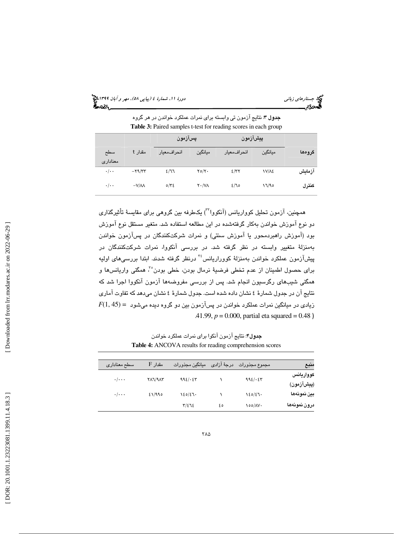جستار*هاي زباني (1398-1194) بين 68)، مهر و آبان 139*9 مج

جدول 3: نتايج آزمون تي وابسته براي نمرات عملكرد خواندن در هر گروه Table 3: Paired samples t-test for reading scores in each group

|                 |                        |                          | پسآزمون                       |              | پيشآزمون     |        |
|-----------------|------------------------|--------------------------|-------------------------------|--------------|--------------|--------|
| سطح<br>معنادارى | مقدار t                | انحراف معبار             | ميانگين                       | انحراف معيار | ميانگين      | گروهها |
| $\cdot/\cdot$   | $-\tau \eta/\tau \tau$ | 2/77                     | $\Upsilon \circ / \Upsilon$ . | 2/77         | <b>IV/AE</b> | آزمايش |
| $\cdot/\cdot$ . | $-V/M$                 | $0/\tilde{\Upsilon} \xi$ | $Y \cdot / V \wedge$          | 2/70         | 17/90        | كنترل  |

همچنين، آزمون تحليل كوواريانس (آنكووا™) يكطرفه بين گروهي براي مقايسهٔ تأثيرگذاري دو نوع آموزش خواندن بهكار گرفتهشده در اين مطالعه استفاده شد. متغير مستقل نوع آموزش بود (آموزش راهبردمحور يا آموزش سنتي) و نمرات شركتكنندگان در پسآزمون خواندن بهمنزلة متغيير وابسته در نظر گرفته شد. در بررسي آنكووا، نمرات شركتكنندگان در پیشآزمون عملکرد خواندن بهمنزلهٔ کووراریانس<sup>،۳</sup> درنظر گرفته شدند. ابتدا بررسیهای اولیه براي حصول اطمينان از عدم تخطي فرضيهٔ نرمال بودن، خطي بودن° ً همگني واريانسها و همگنی شیبهای رگرسیون انجام شد. پس از بررسی مفروضهها آزمون آنكووا اجرا شد كه زيادي در ميانگين نمرات عملكرد خواندن در پسآزمون بين دو گروه ديده ميشود = (45 1,)*<sup>F</sup>* نتايج آن در جدول شمارة 4 نشان داده شده است. جدول شمارة 4 نشان ميدهد كه تفاوت آماري  $.41.99, p = 0.000,$  partial eta squared = 0.48 )

جدول 4: نتايج آزمون آنكوا براي نمرات عملكرد خواندن **Table 4:** ANCOVA results for reading comprehension scores

| منبع         | مجموع مجذورات                     | درجهٔ آزاد <i>ی</i> | ميانگين مجذورات | $F$ مقدار      | سطح معناداري            |  |
|--------------|-----------------------------------|---------------------|-----------------|----------------|-------------------------|--|
| كوواريانس    | $992/\cdot57$                     |                     | 992/·57         | <b>TAJ/9AY</b> | $\cdot/\cdot\cdot\cdot$ |  |
| (پیشآزمون)   |                                   |                     |                 |                |                         |  |
| بين نمونهها  | 120/27                            |                     | 120/27          | 21/990         | $\cdot/\cdot\cdot\cdot$ |  |
| درون نمونهها | $\circ \circ / \wedge \vee \cdot$ | ه ٤                 | $T/\xi$ $T\xi$  |                |                         |  |
|              |                                   |                     |                 |                |                         |  |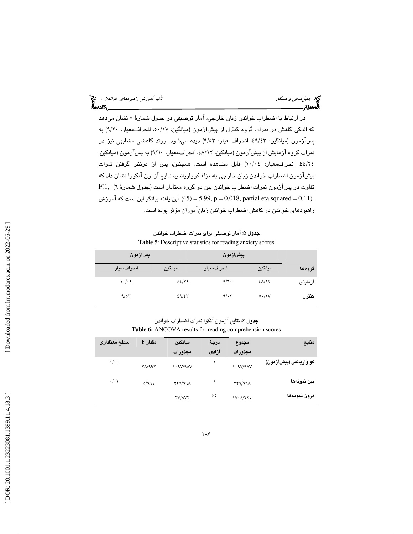جد جليل *فتحي و همكار تأثير آموزش راهبردهاي خواندن...*. چي<br>ال**ج**مهور<br>ال**جمهور تأثير الله تأثير الله الله على الله على الله على الله على الله على الله على الله على الله على الله على** 

در ارتباط با اضطراب خواندن زبان خارجي، آمار توصيفي در جدول شمارة 5 نشان ميدهد كه اندكي كاهش در نمرات گروه كنترل از پيشآزمون (ميانگين: 17/ ،50 انحرافمعيار: 20/9 ) به پسآزمون (ميانگين: ۹/٤٣، انحرافمعيار: ۹/٥٣) ديده میشود. روند كاهشی مشابهی نيز در<br>نمرات گروه آزمايش از پيشآزمون (ميانگين: ۸/۹۲، انحرافمعيار: ۹/٦٠) به پسآزمون (ميانگين: ٤٤/٢٤، انحراف معيار: ١٠/٠٤) قابل مشاهده است. همچنين، پس از درنظر گرفتن نمرات پيشآزمون اضطراب خواندن زبان خارجي بهمنزلة كوواريانس، نتايج آزمون آنكووا نشان داد كه  ${\rm F}(1,~$  تفاوت در پسآزمون نمرات اضطراب خواندن بين دو گروه معنادار است (جدول شمارهٔ ۲) .(45) = 5.99, p = 0.018, partial eta squared = 0.11. اين يافته بيانگر اين است كه آموزش راهبردهاي خواندن در كاهش اضطراب خواندن زبانآموزان مؤثر بوده است.

جدول 5: آمار توصيفي براي نمرات اضطراب خواندن **Table 5**: Descriptive statistics for reading anxiety scores

| پسآزمون             |         | پيشآزمون     |                      |        |
|---------------------|---------|--------------|----------------------|--------|
| انحراف،معيار        | ميانگين | انحراف،معيار | ميانگين              | گرومها |
| $\cdot$ / $\cdot$ { | 22/33   | 9/1          | $2\Lambda/9$         | آزمايش |
| 9/07                | 29/27   | 9/0.7        | $\circ \cdot / \vee$ | كنترل  |

جدول 6: نتايج آزمون آنكوا نمرات اضطراب خواندن Table 6: ANCOVA results for reading comprehension scores

| منابع                 | مجموع<br>مجذورات | درجة<br>آزادى | مىانگىن<br>مجذورات | مقدار F            | سطح معنادارى    |
|-----------------------|------------------|---------------|--------------------|--------------------|-----------------|
| کو واريانس (پيشآزمون) | 1.9V/9AV         |               | $\lambda$ - ٩٧/٩٨٧ | $Y\Lambda$ /99 $Y$ | $\cdot/\cdot$   |
| بين نمونهها           | XY1/99A          |               | 177/991            | 0/992              | $\cdot/\cdot$ \ |
| درون نمونهها          | IV. E/YYO        | ه ٤           | <b>TV/AVT</b>      |                    |                 |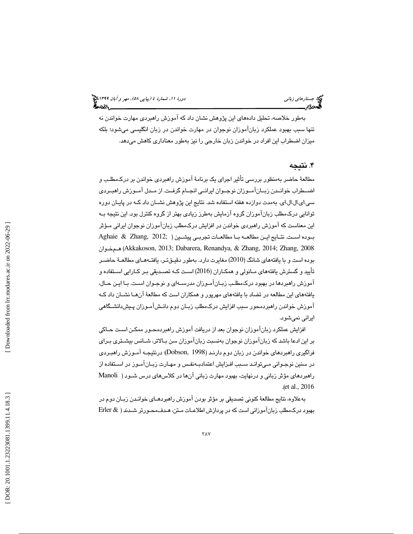بهطور خلاصه، تحليل دادههاي اين پژوهش نشان داد كه آموزش راهبردي مهارت خواندن نه تنها سبب بهبود عملكرد زبانآموزان نوجوان در مهارت خواندن در زبان انگليسي ميشود؛ بلكه ميزان اضطراب اين افراد در خواندن زبان خارجي را نيز بهطور معناداري كاهش ميدهد.

## . نتيجه 4

مطالعة حاضر بهمنظور بررسي تأثير اجراي يك برنامة آموزش راهبردي خواندن بر دركمطلـب و اضــطراب خوانــدن زبــان آمــوزان نوجــوان ايرانــي انجــام گرفــت. از مــدل آمــوزش راهبــردي سي.اي.ال.ال.اي. بهمدت دوازده هفته استفاده شد. نتايج اين پژوهش نشـان داد كـه در پايـان دوره توانايي دركمطلب زبانآموزان گروه آزمايش بهطرز زيادي بهتر از گروه كنترل بود. اين نتيجه بـه اين معناست كه آموزش راهبردي خواندن در افزايش دركمطلب زبانآموزان نوجوان ايراني مـؤثر بـوده اســت. نتـايج ايـن مطالعـه بــا مطالعــات تجربــي پيشــين ( ;2012 ,Zhang & Aghaie خـوان هـم) Akkakoson, 2013; Dabarera, Renandya, & Zhang, 2014; Zhang, 2008 بوده است و با يافتههاي شانگ (2010) مغايرت دارد. بهطور دقيـق تـر، يافتـه هـاي مطالعـة حاضـر تأييد و گسترش يافته هاي مـانولي و همكـاران ( 2016) اسـت كـه تصـديقي بـر كـارايي اسـتفاده و آموزش راهبردها در بهبود دركمطلـب زبـان آمـوز ان مدرسـه اي و نوجـوان اسـت. بـا ايـن حـال، يافته هاي اين مطالعه در تضاد با يافته هاي مهرپور و همكاران است كه مطالعة آنهـا نشـان داد كـه آموزش خواندن راهبردمحور سبب افزايش دركمطلب زبـان دوم دانـش آمـوزان پـيش دانشـگاهي ايراني نميشود.

افزايش عملكرد زبانآموزان نوجوان بعد از دريافت آموزش راهبردمحـور ممكـن اسـت حـاكي بر اين ادعا باشد كه زبانآموزان نوجوان بهنسبت زبانآموزان سن بـالاتر، شـانس بيشـتري بـراي فراگيري راهبردهاي خواندن در زبان دوم دارنـد ( 1998 ,Dobson(؛ درنتيجـه آمـوزش راهبـردي در سنين نوجـواني مـي توانـد سـبب افـزايش اعتمادبـه نفـس و مهـارت زبـان آمـوز در اسـتفاده از راهبردهاي مؤثر زباني و درنهايت، بهبود مهارت زباني آنها در كلاسهاي درس شـود ( Manoli .(et al., 2016)

 بهعلاوه، نتايج مطالعة كنوني تصديقي بر مؤثر بودن آموزش راهبردهـاي خوانـدن زبـان دوم در بهبود دركمطلب زبانآموزاني است كه در پردازش اطلاعـات مـتن، هـدف محـورتر شـدند ( & Erler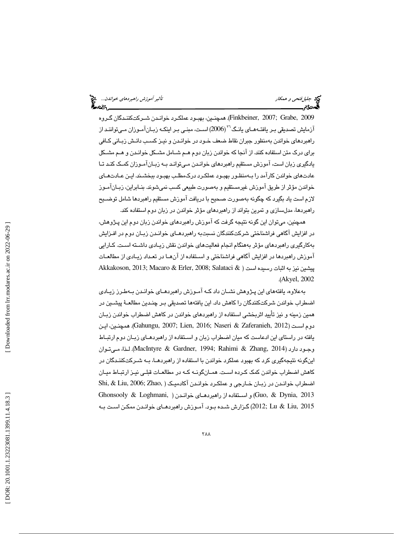جليلفتحي و همكار تأثير آموزش راهبردهاي خواندن...

2009 ,Grabe; 2007 ,Finkbeiner(. همچنـين، بهبـود عملكـرد خوانـدن شـركتكننـدگان گـروه آزمايش تصديقي بـر يافتــهمـاي يانـگ $^{^\gamma\gamma}$ (2006) اسـت، مبنـي بـر اينكـه زبـانآمـوزان مـيتواننـد از راهبردهاي خواندن بهمنظور جبران نقاط ضعف خـود در خوانـدن و نيـز كسـب دانـش زبـاني كـافي براي درك متن استفاده كنند. از آنجا كه خواندن زبان دوم هـم شـامل مشـكل خوانـدن و هـم مشـكل يادگيري زبان است، آموزش مستقيم راهبردهاي خوانـدن مـي توانـد بـه زبـان آمـوزان كمـك كنـد تـا عادتهاي خواندن كارآمد را بـه منظـور بهبـود عملكـ رد دركمطلـب بهبـود ببخشـند. ايـن عـادت هـاي خواندن مؤثر از طريق آموزش غيرمستقيم و بهصورت طبيعي كسب نميشوند. بنـابراين، زبـان آمـوز لازم است ياد بگيرد كه چگونه بهصورت صحيح با دريافت آموزش مستقيم راهبردها شامل توضـيح راهبردها، مدلسازي و تمرين بتواند از راهبردهاي مؤثر خواندن در زبان دوم استفاده كند.

همچنين، ميتوان اين گونه نتيجه گرفت كه آموزش راهبردهاي خواندن زبان دوم اين پـژوهش، در افزايش آگاهي فراشناختي شركتكنندگان نسبتبه راهبردهـاي خوانـدن زبـان دوم در افـزايش بهكارگيري راهبردهاي مؤثر بههنگام انجام فعاليتهاي خواندن نقش زيـادي داشـته اسـت. كـارايي آموزش راهبردها در افزايش آگاهي فراشناختي و اسـتفاده از آنهـا در تعـداد زيـادي از مطالعـات Akkakoson, 2013; Macaro & Erler, 2008; Salataci & پيشين نيز به اثبات رسيده است ( .(Akyel, 2002

 بهعلاوه، يافتههاي اين پـژوهش نشـان داد كـه آمـوزش راهبردهـاي خوانـدن بـه طـرز زيـادي اضطراب خواندن شركتكنندگان را كاهش داد. اين يافته ها تصديقي بـر چنـدين مطالعـة پيشـين در همين زمينه و نيز تأييد اثربخشي استفاده از راهبردهاي خواندن در كاهش اضطراب خواندن زبـان ايـن ،همچنـين .)Gahungu, 2007; Lien, 2016; Naseri & Zaferanieh, 201 دوم اسـت ( 2 يافته در راستاي اين ادعاست كه ميان اضطراب زبان و اسـتفاده از راهبردهـاي زبـان دوم ارتبـاط وجـود دارد ( 2014 ,Zhang & Rahimi; 1994 ,Gardner & MacIntyre(. لـذا، مـيتـوان اينگونه نتيجهگيري كرد كه بهبود عملكرد خواندن با استفاده از راهبردهـا، بـه شـركت كننـدگان در كاهش اضطراب خواندن كمك كـرده اسـت. همـان گونـه كـه در مطالعـات قبلـي نيـز ارتبـاط ميـان اضطراب خوانـدن در زبـان خـارجي و عملكـرد خوانـدن آكادميـك ( ,Zhao; 2006 ,Liu & ,Shi  $G$ honsooly & Loghmani, ) و استفاده از راهبردهـاي خوانـدن ( ,Guo, & Dynia, 2013 2015 ,Liu & Lu; 2012 (گـزارش شـده بـود. آمـوزش راهبردهـاي خوانـدن ممكـن اسـت بـه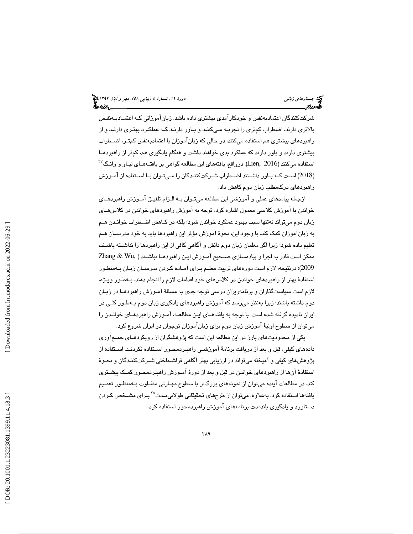شركتكنندگان اعتماد به نفس و خودكارآمدي بيشتري داده باشد. زبانآموزاني كـه اعتمـاد بـه نفـس بالاتري دارند، اضطراب كمتري را تجربـه مـي كننـد و بـاور دارنـد كـه عملكـرد بهتـري دارنـد و از راهبردهاي بيشتري هم استفاده ميكنند، در حالي كه زبانآموزان با اعتماد به نفس كمتـر، اضـطراب بيشتري دارند و باور دارند كه عملكرد بدي خواهند داشت و هنگام يادگيري هم، كمتر از راهبردهـا  $^{17}$ استفاده ميكنند (Lien, 2016). درواقع، يافتههاي اين مطالعه گواهي بر يافتـههـاي ليـاو و وانـگ 2018) اسـت كـه بـاور داشـتند اضـطراب شـركتكننـدگان را مـيتـوان بـا اسـتفاده از آمـوزش ) راهبردهاي دركمطلب زبان دوم كاهش داد.

ازجمله پيامدهاي عملي و آموزشي اين مطالعه ميتـوان بـه الـزام تلفيـق آمـوزش راهبردهـاي خواندن با آموزش كلاسي معمول اشاره كرد. توجه به آموزش راهبردهاي خواندن در كلاسهـاي زبان دوم ميتواند نهتنها سبب بهبود عملكرد خواندن شود؛ بلكه در كـاهش اضـطراب خوانـدن هـم به زبانآموزان كمك كند. با وجود اين، نحوة آموزش مؤثر اين راهبردها بايد به خود مدرسـان هـم تعليم داده شود؛ زيرا اگر معلمان زبان دوم دانش و آگاهي كافي از اين راهبردها را نداشـته باشـند، ممكن است قادر به اجرا و پيادهسازي صـحيح آمـوزش ايـن راهبردهـا نباشـند ( ,Wu & Zhang 2009)؛ درنتيجه، لازم است دورههاي تربيت معلـم بـراي آمـاده كـردن مدرسـان زبـان بـه منظـور استفادة بهتر از راهبردهاي خواندن در كلاسهاي خود اقدامات لازم را انجام دهند. بـه طـور ويـژه، لازم است سياستگذاران و برنامهريزان درسي توجه جدي به مسئلة آمـوزش راهبردهـا در زبـان دوم داشته باشند؛ زيرا بهنظر ميرسد كه آموزش راهبردهاي يادگيري زبان دوم بـه طـور كلـي در ايران ناديده گرفته شده است. با توجه به يافتههـاي ايـن مطالعـه، آمـوزش راهبردهـاي خوانـدن را ميتوان از سطوح اولية آموزش زبان دوم براي زبانآموزان نوجوان در ايران شروع كرد.

يكي از محدوديت هاي بارز در اين مطالعه اين است كه پژوهشگران از رويكردهـاي جمـع آوري دادههاي كيفي، قبل و بعد از دريافت برنامة آموزشـي راهبـرد محـ ور اسـتفاده نكردنـد. اسـتفاده از پژوهش هاي كيفي و آميخته ميتواند در ارزيابي بهتر آگاهي فراشـناختي شـركت كننـدگان و نحـوة استفادهٔ آنها از راهبردهاي خواندن در قبل و بعد از دورهٔ آمـوزش راهبـردمحـور كمـک بیشـتري كند. در مطالعات آينده ميتوان از نمونه هاي بزرگتر با سطوح مهـارتي متفـاوت بـه منظـور تعمـيم يافتهها استفاده كرد. بهعلاوه، ميتوان از طرحهاي تحقيقاتي طولاني مـدت<sup>71</sup>بـراي مشــخص كـردن دستاورد و يادگيري بلندمدت برنامههاي آموزش راهبردمحور استفاده كرد.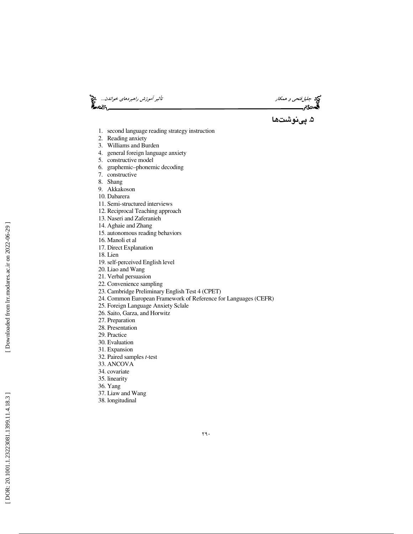جيم جليل *فتحي و همكار تأثير آموزش راهبردهاي خواندن...*. چ<mark>ي</mark><br>المحدودیم العامل<br>المحدودیم العامل

۵. پینوشتها

- 1. second language reading strategy instruction
- 2. Reading anxiety
- 3. Williams and Burden
- 4. general foreign language anxiety
- 5. constructive model
- 6. graphemic–phonemic decoding
- 7. constructive
- 8. Shang
- 9. Akkakoson
- 10. Dabarera
- 11. Semi-structured interviews
- 12. Reciprocal Teaching approach
- 13. Naseri and Zaferanieh
- 14. Aghaie and Zhang
- 15. autonomous reading behaviors
- 16. Manoli et al
- 17. Direct Explanation
- 18. Lien
- 19. self-perceived English level
- 20. Liao and Wang
- 21. Verbal persuasion
- 22. Convenience sampling
- 23. Cambridge Preliminary English Test 4 (CPET)
- 24. Common European Framework of Reference for Languages (CEFR)
- 25. Foreign Language Anxiety Sclale
- 26. Saito, Garza, and Horwitz
- 27. Preparation
- 28. Presentation
- 29. Practice
- 30. Evaluation
- 31. Expansion
- 32. Paired samples *t*-test
- 33. ANCOVA
- 34. covariate
- 35. linearity
- 36. Yang
- 37. Liaw and Wang
- 38. longitudinal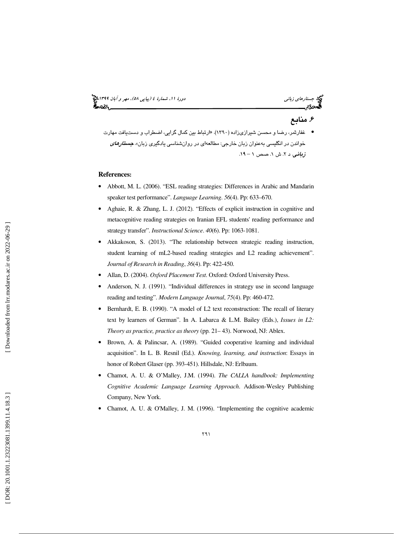# جستار*هاي زباني (1398-1194) بين 68)، مهر و آبان 139*9 مج

# . 6 منابع

● غفارثمر، رضا و محسن شيرازي;اده (١٣٩٠). «ارتباط بين كمال گرايي، اضطراب و دستيافت مهارت خواندن در انگلیسی به عنوان زبان خارجی: مطالعهای در روانشناسی یادگیری زبان». *جستار<i>های* زبانی. د ۲. ش ۱. صص ۱ – ۱۹.

### **References:**

- Abbott, M. L. (2006). "ESL reading strategies: Differences in Arabic and Mandarin speaker test performance". *Language Learning*. *56*(4). Pp: 633–670.
- Aghaie, R. & Zhang, L. J. (2012). "Effects of explicit instruction in cognitive and metacognitive reading strategies on Iranian EFL students' reading performance and strategy transfer". *Instructional Science*. *40*(6). Pp: 1063-1081.
- Akkakoson, S. (2013). "The relationship between strategic reading instruction, student learning of mL2-based reading strategies and L2 reading achievement". *Journal of Research in Reading*, *36*(4). Pp: 422-450.
- Allan, D. (2004). *Oxford Placement Test*. Oxford: Oxford University Press.
- Anderson, N. J. (1991). "Individual differences in strategy use in second language reading and testing". *Modern Language Journal*, *75*(4). Pp: 460-472.
- Bernhardt, E. B. (1990). "A model of L2 text reconstruction: The recall of literary text by learners of German". In A. Labarca & L.M. Bailey (Eds.), *Issues in L2: Theory as practice, practice as theory* (pp. 21– 43). Norwood, NJ: Ablex.
- Brown, A. & Palincsar, A. (1989). "Guided cooperative learning and individual acquisition". In L. B. Resnil (Ed.). *Knowing, learning, and instruction*: Essays in honor of Robert Glaser (pp. 393-451). Hillsdale, NJ: Erlbaum.
- Chamot, A. U. & O'Malley, J.M. (1994). *The CALLA handbook: Implementing Cognitive Academic Language Learning Approach*. Addison-Wesley Publishing Company, New York.
- Chamot, A. U. & O'Malley, J. M. (1996). "Implementing the cognitive academic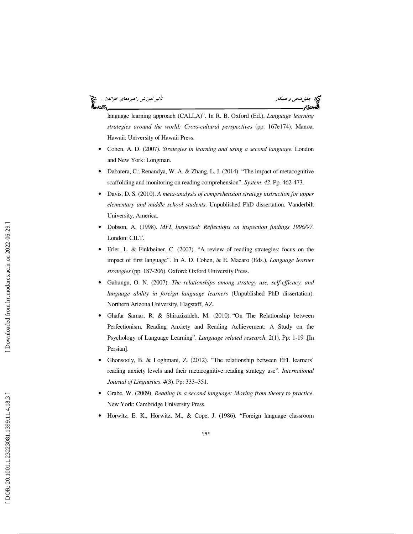جليلفتحي و همكار تأثير آموزش راهبردهاي خواندن... ಹಿಂದಿ



language learning approach (CALLA)". In R. B. Oxford (Ed.), *Language learning strategies around the world: Cross-cultural perspectives* (pp. 167e174). Manoa, Hawaii: University of Hawaii Press.

- Cohen, A. D. (2007). *Strategies in learning and using a second language.* London and New York: Longman.
- Dabarera, C.; Renandya, W. A. & Zhang, L. J. (2014). "The impact of metacognitive scaffolding and monitoring on reading comprehension". *System*. *42*. Pp. 462-473.
- Davis, D. S. (2010). *A meta-analysis of comprehension strategy instruction for upper elementary and middle school students* . Unpublished PhD dissertation. Vanderbilt University, America.
- Dobson, A. (1998). *MFL Inspected: Reflections on inspection findings 1996/97*. London: CILT.
- Erler, L. & Finkbeiner, C. (2007). "A review of reading strategies: focus on the impact of first language". In A. D. Cohen, & E. Macaro (Eds.), *Language learner strategies* (pp. 187-206). Oxford: Oxford University Press.
- Gahungu, O. N. (2007). *The relationships among strategy use, self-efficacy, and language ability in foreign language learners* (Unpublished PhD dissertation). Northern Arizona University, Flagstaff, AZ.
- Ghafar Samar, R. & Shirazizadeh, M. (2010). "On The Relationship between Perfectionism, Reading Anxiety and Reading Achievement: A Study on the Psychology of Language Learning". *Language related research*. 2(1). Pp: 1-19 .[In Persian].
- Ghonsooly, B. & Loghmani, Z. (2012). "The relationship between EFL learners' reading anxiety levels and their metacognitive reading strategy use". *International Journal of Linguistics*. *4*(3). Pp: 333–351 *.*
- Grabe, W. (2009). *Reading in a second language: Moving from theory to practice*. New York: Cambridge University Press.
- Horwitz, E. K., Horwitz, M., & Cope, J. (1986). "Foreign language classroom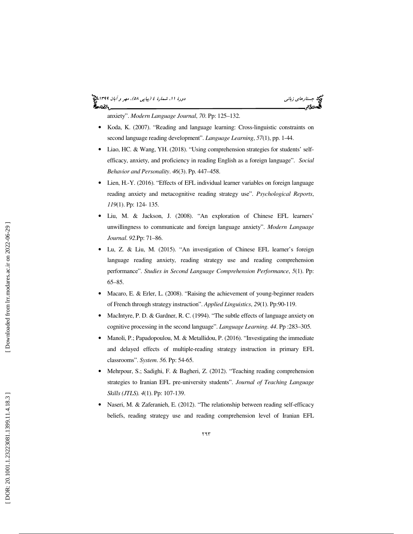# جستار*هاي زباني (1398-1194) بين 68)، مهر و آبان 139*9 مج

anxiety". *Modern Language Journal*, *70*. Pp: 125–132.

- Koda, K. (2007). "Reading and language learning: Cross-linguistic constraints on second language reading development". *Language Learning*, *57*(1), pp. 1-44.
- Liao, HC. & Wang, YH. (2018). "Using comprehension strategies for students' selfefficacy, anxiety, and proficiency in reading English as a foreign language". *Social Behavior and Personality*. *46*(3). Pp. 447–458.
- Lien, H.-Y. (2016). "Effects of EFL individual learner variables on foreign language reading anxiety and metacognitive reading strategy use". *Psychological Reports*, *119*(1). Pp: 124- 135.
- Liu, M. & Jackson, J. (2008). "An exploration of Chinese EFL learners' unwillingness to communicate and foreign language anxiety". *Modern Language Journal*. *92*.Pp: 71–86.
- Lu, Z. & Liu, M. (2015). "An investigation of Chinese EFL learner's foreign language reading anxiety, reading strategy use and reading comprehension performance". Studies in Second Language Comprehension Performance, 5(1). Pp: 65–85.
- Macaro, E. & Erler, L. (2008). "Raising the achievement of young-beginner readers of French through strategy instruction". *Applied Linguistics*, *29*(1). Pp:90-119.
- MacIntyre, P. D. & Gardner, R. C. (1994). "The subtle effects of language anxiety on cognitive processing in the second language". *Language Learning*. *44*. Pp :283–305.
- Manoli, P.; Papadopoulou, M. & Metallidou, P. (2016). "Investigating the immediate and delayed effects of multiple-reading strategy instruction in primary EFL classrooms". *System*. *56*. Pp: 54-65.
- Mehrpour, S.; Sadighi, F. & Bagheri, Z. (2012). "Teaching reading comprehension strategies to Iranian EFL pre-university students". *Journal of Teaching Language Skills (JTLS). 4*(1). Pp: 107-139.
- Naseri, M. & Zaferanieh, E. (2012). "The relationship between reading self-efficacy beliefs, reading strategy use and reading comprehension level of Iranian EFL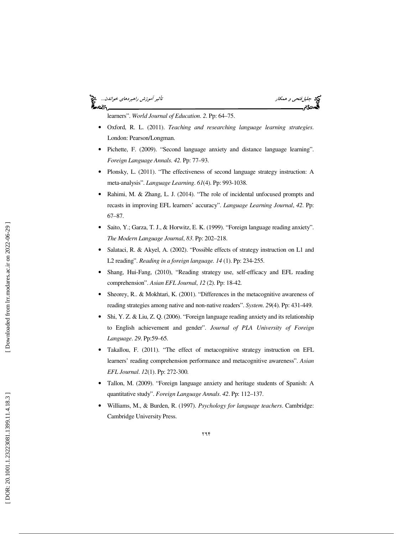### جها جليل *فتحى و همكار تأثير آموزش راهبردهاي خواندن...*<br>**هجودي المس**احي المساحد المساحد المساحد المساحد المساحد المساحد المساحد المساحد المساحد المساحد المساحد المساحد ેન્વ્ટર



learners". *World Journal of Education*. *2*. Pp: 64–75.

- Oxford, R. L. (2011). *Teaching and researching language learning strategies*. London: Pearson/Longman.
- Pichette, F. (2009). "Second language anxiety and distance language learning". *Foreign Language Annals*. *42*. Pp: 77–93.
- Plonsky, L. (2011). "The effectiveness of second language strategy instruction: A meta-analysis". *Language Learning*. *61*(4). Pp: 993-1038.
- Rahimi, M. & Zhang, L. J. (2014). "The role of incidental unfocused prompts and recasts in improving EFL learners' accuracy". *Language Learning Journal*, *42*. Pp: 67–87.
- Saito, Y.; Garza, T. J., & Horwitz, E. K. (1999). "Foreign language reading anxiety". *The Modern Language Journal*, *83*. Pp: 202–218.
- Salataci, R. & Akyel, A. (2002). "Possible effects of strategy instruction on L1 and L2 reading". *Reading in a foreign language. 14* (1). Pp: 234-255.
- Shang, Hui-Fang, (2010), "Reading strategy use, self-efficacy and EFL reading comprehension". *Asian EFL Journal*, *12* (2). Pp: 18-42.
- Sheorey, R.. & Mokhtari, K. (2001). "Differences in the metacognitive awareness of reading strategies among native and non-native readers". *System*. *29*(4). Pp: 431-449.
- Shi, Y. Z. & Liu, Z. Q. (2006). "Foreign language reading anxiety and its relationship to English achievement and gender". *Journal of PLA University of Foreign Language*. *29*. Pp:59–65.
- Takallou, F. (2011). "The effect of metacognitive strategy instruction on EFL learners' reading comprehension performance and metacognitive awareness". *Asian EFL Journal*. *12*(1). Pp: 272-300.
- Tallon, M. (2009). "Foreign language anxiety and heritage students of Spanish: A quantitative study". *Foreign Language Annals*. *42*. Pp: 112–137.
- Williams, M., & Burden, R. (1997). *Psychology for language teachers*. Cambridge: Cambridge University Press.